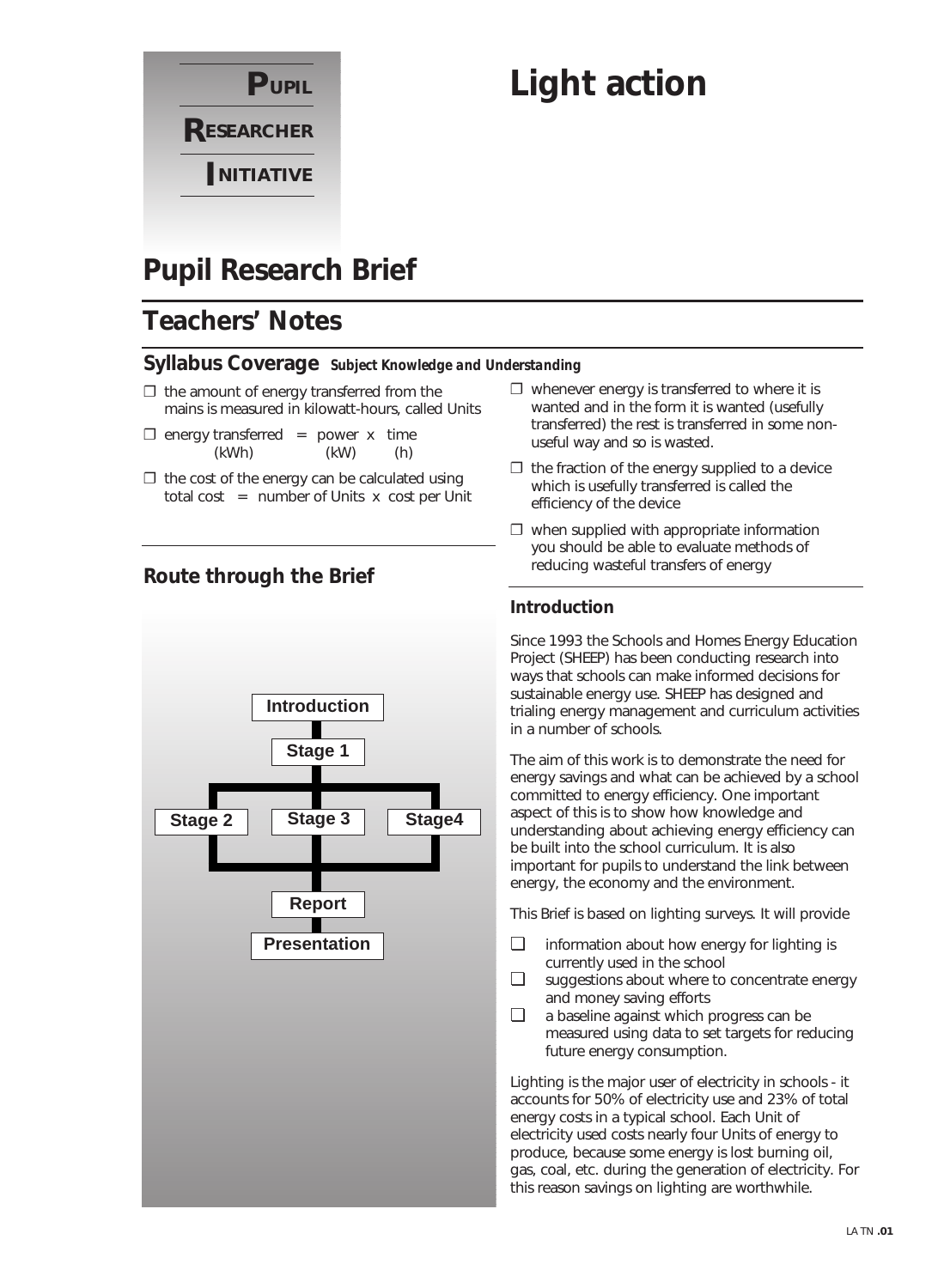

# **Light action**

# **Pupil Research Brief**

# **Teachers' Notes**

#### **Syllabus Coverage** *Subject Knowledge and Understanding*

- $\Box$  the amount of energy transferred from the mains is measured in kilowatt-hours, called Units
- $\square$  energy transferred = power x time (kWh) (kW) (h)
- $\Box$  the cost of the energy can be calculated using total cost  $=$  number of Units x cost per Unit

### **Route through the Brief**



- $\square$  whenever energy is transferred to where it is wanted and in the form it is wanted (usefully transferred) the rest is transferred in some nonuseful way and so is wasted.
- $\Box$  the fraction of the energy supplied to a device which is usefully transferred is called the efficiency of the device
- $\square$  when supplied with appropriate information you should be able to evaluate methods of reducing wasteful transfers of energy

#### **Introduction**

Since 1993 the Schools and Homes Energy Education Project (SHEEP) has been conducting research into ways that schools can make informed decisions for sustainable energy use. SHEEP has designed and trialing energy management and curriculum activities in a number of schools.

The aim of this work is to demonstrate the need for energy savings and what can be achieved by a school committed to energy efficiency. One important aspect of this is to show how knowledge and understanding about achieving energy efficiency can be built into the school curriculum. It is also important for pupils to understand the link between energy, the economy and the environment.

This Brief is based on lighting surveys. It will provide

- ❏ information about how energy for lighting is currently used in the school
- ❏ suggestions about where to concentrate energy and money saving efforts
- ❏ a baseline against which progress can be measured using data to set targets for reducing future energy consumption.

Lighting is the major user of electricity in schools - it accounts for 50% of electricity use and 23% of total energy costs in a typical school. Each Unit of electricity used costs nearly four Units of energy to produce, because some energy is lost burning oil, gas, coal, etc. during the generation of electricity. For this reason savings on lighting are worthwhile.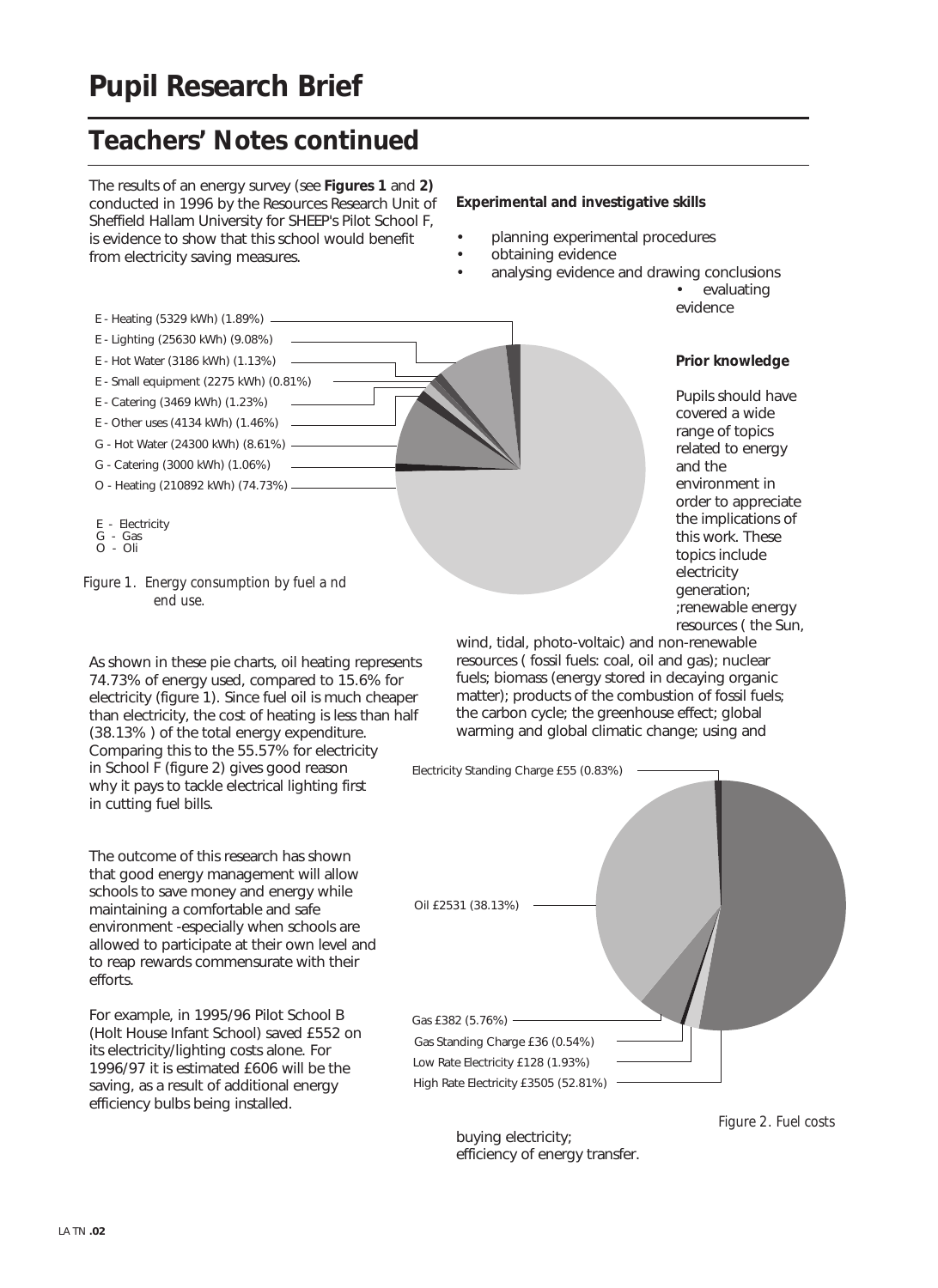# **Pupil Research Brief**

# **Teachers' Notes continued**

The results of an energy survey (see **Figures 1** and **2)** conducted in 1996 by the Resources Research Unit of Sheffield Hallam University for SHEEP's Pilot School F, is evidence to show that this school would benefit from electricity saving measures.

#### **Experimental and investigative skills**

- planning experimental procedures
- obtaining evidence
- analysing evidence and drawing conclusions

• evaluating evidence

### E - Lighting (25630 kWh) (9.08%) E - Hot Water (3186 kWh) (1.13%) E - Small equipment (2275 kWh) (0.81%) E - Catering (3469 kWh) (1.23%) E - Other uses (4134 kWh) (1.46%) G - Hot Water (24300 kWh) (8.61%) G - Catering (3000 kWh) (1.06%) O - Heating (210892 kWh) (74.73%) E - Electricity G - Gas O - Oli

#### **Prior knowledge**

Pupils should have covered a wide range of topics related to energy and the environment in order to appreciate the implications of this work. These topics include electricity generation; ;renewable energy resources ( the Sun,

E - Heating (5329 kWh) (1.89%)

As shown in these pie charts, oil heating represents 74.73% of energy used, compared to 15.6% for electricity (figure 1). Since fuel oil is much cheaper than electricity, the cost of heating is less than half (38.13% ) of the total energy expenditure. Comparing this to the 55.57% for electricity in School F (figure 2) gives good reason why it pays to tackle electrical lighting first in cutting fuel bills.

The outcome of this research has shown that good energy management will allow schools to save money and energy while maintaining a comfortable and safe environment -especially when schools are allowed to participate at their own level and to reap rewards commensurate with their efforts.

For example, in 1995/96 Pilot School B (Holt House Infant School) saved £552 on its electricity/lighting costs alone. For 1996/97 it is estimated £606 will be the saving, as a result of additional energy efficiency bulbs being installed.

wind, tidal, photo-voltaic) and non-renewable resources ( fossil fuels: coal, oil and gas); nuclear fuels; biomass (energy stored in decaying organic matter); products of the combustion of fossil fuels; the carbon cycle; the greenhouse effect; global warming and global climatic change; using and



buying electricity; efficiency of energy transfer. *Figure 2. Fuel costs*

*Figure 1. Energy consumption by fuel a nd end use.*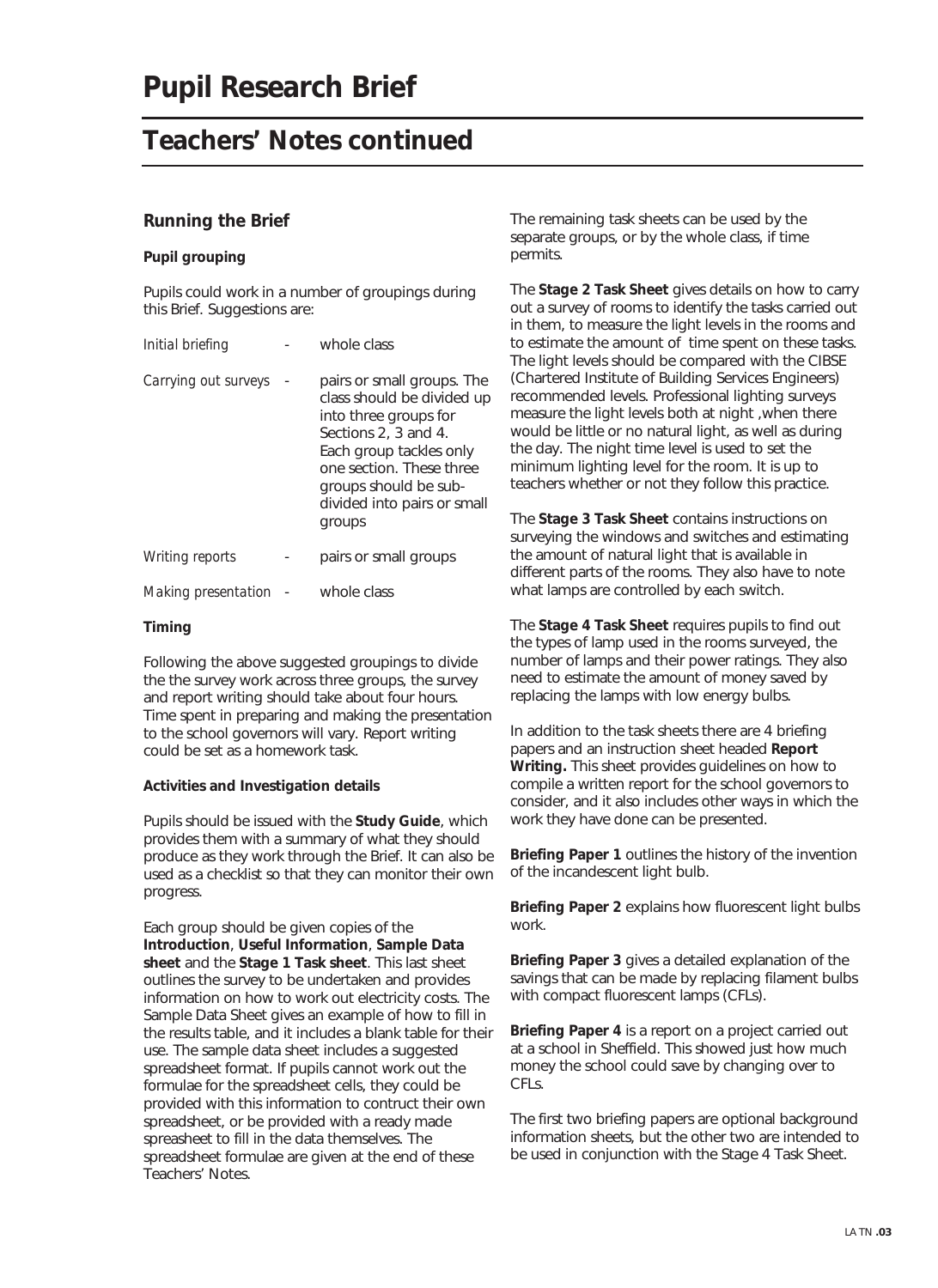### **Teachers' Notes continued**

#### **Running the Brief**

#### **Pupil grouping**

Pupils could work in a number of groupings during this Brief. Suggestions are:

| Initial briefing     | whole class                                                                                                                                                                                                                        |  |
|----------------------|------------------------------------------------------------------------------------------------------------------------------------------------------------------------------------------------------------------------------------|--|
| Carrying out surveys | pairs or small groups. The<br>class should be divided up<br>into three groups for<br>Sections 2, 3 and 4.<br>Each group tackles only<br>one section. These three<br>groups should be sub-<br>divided into pairs or small<br>groups |  |
| Writing reports      | pairs or small groups                                                                                                                                                                                                              |  |
| Making presentation  | whole class                                                                                                                                                                                                                        |  |

#### **Timing**

Following the above suggested groupings to divide the the survey work across three groups, the survey and report writing should take about four hours. Time spent in preparing and making the presentation to the school governors will vary. Report writing could be set as a homework task.

#### **Activities and Investigation details**

Pupils should be issued with the **Study Guide**, which provides them with a summary of what they should produce as they work through the Brief. It can also be used as a checklist so that they can monitor their own progress.

Each group should be given copies of the **Introduction**, **Useful Information**, **Sample Data sheet** and the **Stage 1 Task sheet**. This last sheet outlines the survey to be undertaken and provides information on how to work out electricity costs. The Sample Data Sheet gives an example of how to fill in the results table, and it includes a blank table for their use. The sample data sheet includes a suggested spreadsheet format. If pupils cannot work out the formulae for the spreadsheet cells, they could be provided with this information to contruct their own spreadsheet, or be provided with a ready made spreasheet to fill in the data themselves. The spreadsheet formulae are given at the end of these Teachers' Notes.

The remaining task sheets can be used by the separate groups, or by the whole class, if time permits.

The **Stage 2 Task Sheet** gives details on how to carry out a survey of rooms to identify the tasks carried out in them, to measure the light levels in the rooms and to estimate the amount of time spent on these tasks. The light levels should be compared with the CIBSE (Chartered Institute of Building Services Engineers) recommended levels. Professional lighting surveys measure the light levels both at night ,when there would be little or no natural light, as well as during the day. The night time level is used to set the minimum lighting level for the room. It is up to teachers whether or not they follow this practice.

The **Stage 3 Task Sheet** contains instructions on surveying the windows and switches and estimating the amount of natural light that is available in different parts of the rooms. They also have to note what lamps are controlled by each switch.

The **Stage 4 Task Sheet** requires pupils to find out the types of lamp used in the rooms surveyed, the number of lamps and their power ratings. They also need to estimate the amount of money saved by replacing the lamps with low energy bulbs.

In addition to the task sheets there are 4 briefing papers and an instruction sheet headed **Report Writing.** This sheet provides guidelines on how to compile a written report for the school governors to consider, and it also includes other ways in which the work they have done can be presented.

**Briefing Paper 1** outlines the history of the invention of the incandescent light bulb.

**Briefing Paper 2** explains how fluorescent light bulbs work.

**Briefing Paper 3** gives a detailed explanation of the savings that can be made by replacing filament bulbs with compact fluorescent lamps (CFLs).

**Briefing Paper 4** is a report on a project carried out at a school in Sheffield. This showed just how much money the school could save by changing over to CFLs.

The first two briefing papers are optional background information sheets, but the other two are intended to be used in conjunction with the Stage 4 Task Sheet.